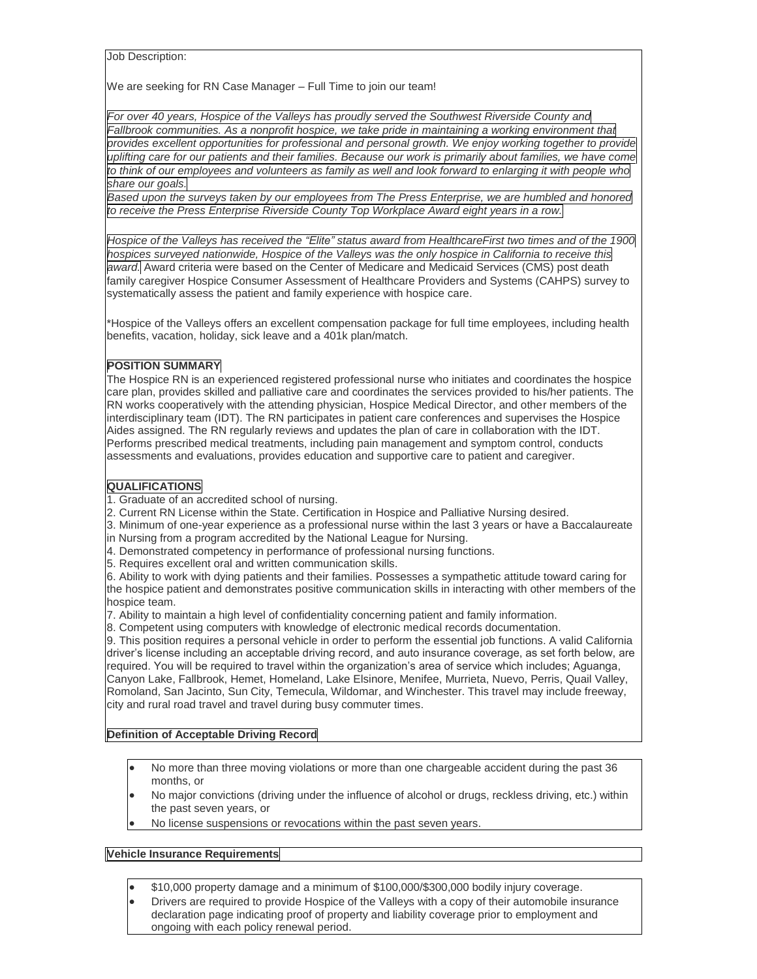Job Description:

We are seeking for RN Case Manager – Full Time to join our team!

*For over 40 years, Hospice of the Valleys has proudly served the Southwest Riverside County and Fallbrook communities. As a nonprofit hospice, we take pride in maintaining a working environment that provides excellent opportunities for professional and personal growth. We enjoy working together to provide* uplifting care for our patients and their families. Because our work is primarily about families, we have come to think of our employees and volunteers as family as well and look forward to enlarging it with people who *share our goals.*

*Based upon the surveys taken by our employees from The Press Enterprise, we are humbled and honored to receive the Press Enterprise Riverside County Top Workplace Award eight years in a row.*

Hospice of the Valleys has received the "Elite" status award from HealthcareFirst two times and of the 1900 *hospices surveyed nationwide, Hospice of the Valleys was the only hospice in California to receive this award.* Award criteria were based on the Center of Medicare and Medicaid Services (CMS) post death family caregiver Hospice Consumer Assessment of Healthcare Providers and Systems (CAHPS) survey to systematically assess the patient and family experience with hospice care.

\*Hospice of the Valleys offers an excellent compensation package for full time employees, including health benefits, vacation, holiday, sick leave and a 401k plan/match.

## **POSITION SUMMARY**

The Hospice RN is an experienced registered professional nurse who initiates and coordinates the hospice care plan, provides skilled and palliative care and coordinates the services provided to his/her patients. The RN works cooperatively with the attending physician, Hospice Medical Director, and other members of the interdisciplinary team (IDT). The RN participates in patient care conferences and supervises the Hospice Aides assigned. The RN regularly reviews and updates the plan of care in collaboration with the IDT. Performs prescribed medical treatments, including pain management and symptom control, conducts assessments and evaluations, provides education and supportive care to patient and caregiver.

## **QUALIFICATIONS**

1. Graduate of an accredited school of nursing.

- 2. Current RN License within the State. Certification in Hospice and Palliative Nursing desired.
- 3. Minimum of one-year experience as a professional nurse within the last 3 years or have a Baccalaureate in Nursing from a program accredited by the National League for Nursing.
- 4. Demonstrated competency in performance of professional nursing functions.
- 5. Requires excellent oral and written communication skills.

6. Ability to work with dying patients and their families. Possesses a sympathetic attitude toward caring for the hospice patient and demonstrates positive communication skills in interacting with other members of the hospice team.

7. Ability to maintain a high level of confidentiality concerning patient and family information.

8. Competent using computers with knowledge of electronic medical records documentation.

9. This position requires a personal vehicle in order to perform the essential job functions. A valid California driver's license including an acceptable driving record, and auto insurance coverage, as set forth below, are required. You will be required to travel within the organization's area of service which includes; Aguanga, Canyon Lake, Fallbrook, Hemet, Homeland, Lake Elsinore, Menifee, Murrieta, Nuevo, Perris, Quail Valley, Romoland, San Jacinto, Sun City, Temecula, Wildomar, and Winchester. This travel may include freeway, city and rural road travel and travel during busy commuter times.

## **Definition of Acceptable Driving Record**

- No more than three moving violations or more than one chargeable accident during the past 36 months, or
- No major convictions (driving under the influence of alcohol or drugs, reckless driving, etc.) within the past seven years, or
- No license suspensions or revocations within the past seven years.

## **Vehicle Insurance Requirements**

- \$10,000 property damage and a minimum of \$100,000/\$300,000 bodily injury coverage.
- Drivers are required to provide Hospice of the Valleys with a copy of their automobile insurance declaration page indicating proof of property and liability coverage prior to employment and ongoing with each policy renewal period.